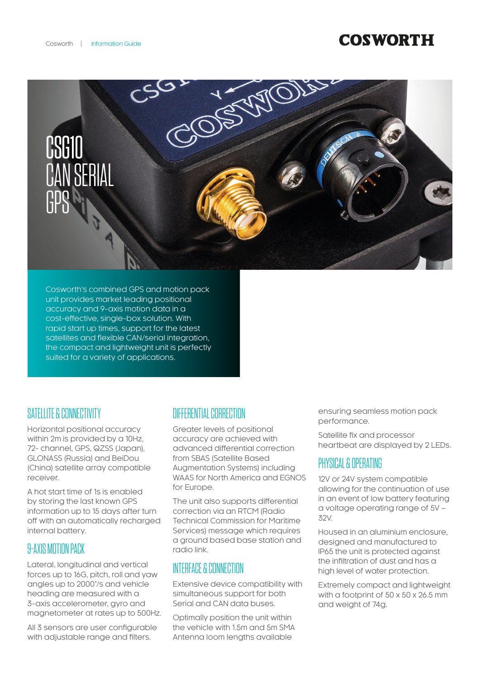# **COSWORTH**



Cosworth's combined GPS and motion pack unit provides market leading positional accuracy and 9-axis motion data in a cost-effective, single-box solution. With rapid start up times, support for the latest satellites and flexible CAN/serial integration, the compact and lightweight unit is perfectly suited for a variety of applications.

#### SATELLITE & CONNECTIVITY

Horizontal positional accuracy within 2m is provided by a 10Hz, 72- channel, GPS, QZSS (Japan), GLONASS (Russia) and BeiDou (China) satellite array compatible receiver.

A hot start time of 1s is enabled by storing the last known GPS information up to 15 days after turn off with an automatically recharged internal battery.

### **9-AXIS MOTION PACK**

Lateral, longitudinal and vertical forces up to 16G, pitch, roll and yaw angles up to 2000°/s and vehicle heading are measured with a 3-axis accelerometer, gyro and magnetometer at rates up to 500Hz.

All 3 sensors are user configurable with adjustable range and filters.

### DIFFERENTIAL CORRECTION

Greater levels of positional accuracy are achieved with advanced differential correction from SBAS (Satellite Based Augmentation Systems) including WAAS for North America and EGNOS for Europe.

The unit also supports differential correction via an RTCM (Radio Technical Commission for Maritime Services) message which requires a ground based base station and radio link.

### INTERFACE & CONNECTION

Extensive device compatibility with simultaneous support for both Serial and CAN data buses.

Optimally position the unit within the vehicle with 1.5m and 5m SMA Antenna loom lengths available

ensuring seamless motion pack performance.

Satellite fix and processor heartbeat are displayed by 2 LEDs.

#### PHYSICAL & OPERATING

12V or 24V system compatible allowing for the continuation of use in an event of low battery featuring a voltage operating range of 5V – 32V.

Housed in an aluminium enclosure, designed and manufactured to IP65 the unit is protected against the infiltration of dust and has a high level of water protection.

Extremely compact and lightweight with a footprint of 50 x 50 x 26.5 mm and weight of 74g.